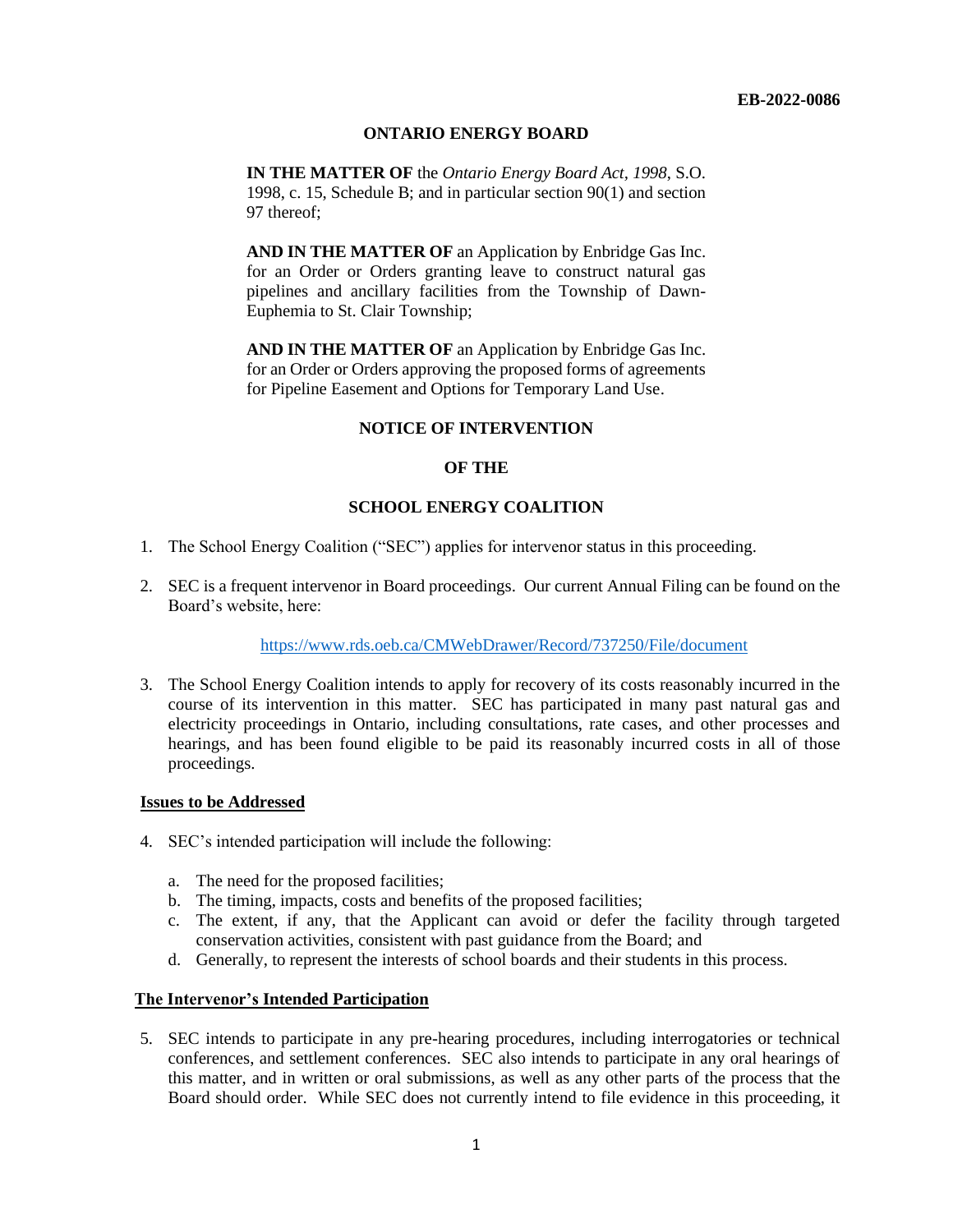#### **ONTARIO ENERGY BOARD**

**IN THE MATTER OF** the *Ontario Energy Board Act, 1998*, S.O. 1998, c. 15, Schedule B; and in particular section 90(1) and section 97 thereof;

**AND IN THE MATTER OF** an Application by Enbridge Gas Inc. for an Order or Orders granting leave to construct natural gas pipelines and ancillary facilities from the Township of Dawn-Euphemia to St. Clair Township;

**AND IN THE MATTER OF** an Application by Enbridge Gas Inc. for an Order or Orders approving the proposed forms of agreements for Pipeline Easement and Options for Temporary Land Use.

## **NOTICE OF INTERVENTION**

## **OF THE**

#### **SCHOOL ENERGY COALITION**

- 1. The School Energy Coalition ("SEC") applies for intervenor status in this proceeding.
- 2. SEC is a frequent intervenor in Board proceedings. Our current Annual Filing can be found on the Board's website, here:

#### <https://www.rds.oeb.ca/CMWebDrawer/Record/737250/File/document>

3. The School Energy Coalition intends to apply for recovery of its costs reasonably incurred in the course of its intervention in this matter. SEC has participated in many past natural gas and electricity proceedings in Ontario, including consultations, rate cases, and other processes and hearings, and has been found eligible to be paid its reasonably incurred costs in all of those proceedings.

#### **Issues to be Addressed**

- 4. SEC's intended participation will include the following:
	- a. The need for the proposed facilities;
	- b. The timing, impacts, costs and benefits of the proposed facilities;
	- c. The extent, if any, that the Applicant can avoid or defer the facility through targeted conservation activities, consistent with past guidance from the Board; and
	- d. Generally, to represent the interests of school boards and their students in this process.

#### **The Intervenor's Intended Participation**

5. SEC intends to participate in any pre-hearing procedures, including interrogatories or technical conferences, and settlement conferences. SEC also intends to participate in any oral hearings of this matter, and in written or oral submissions, as well as any other parts of the process that the Board should order. While SEC does not currently intend to file evidence in this proceeding, it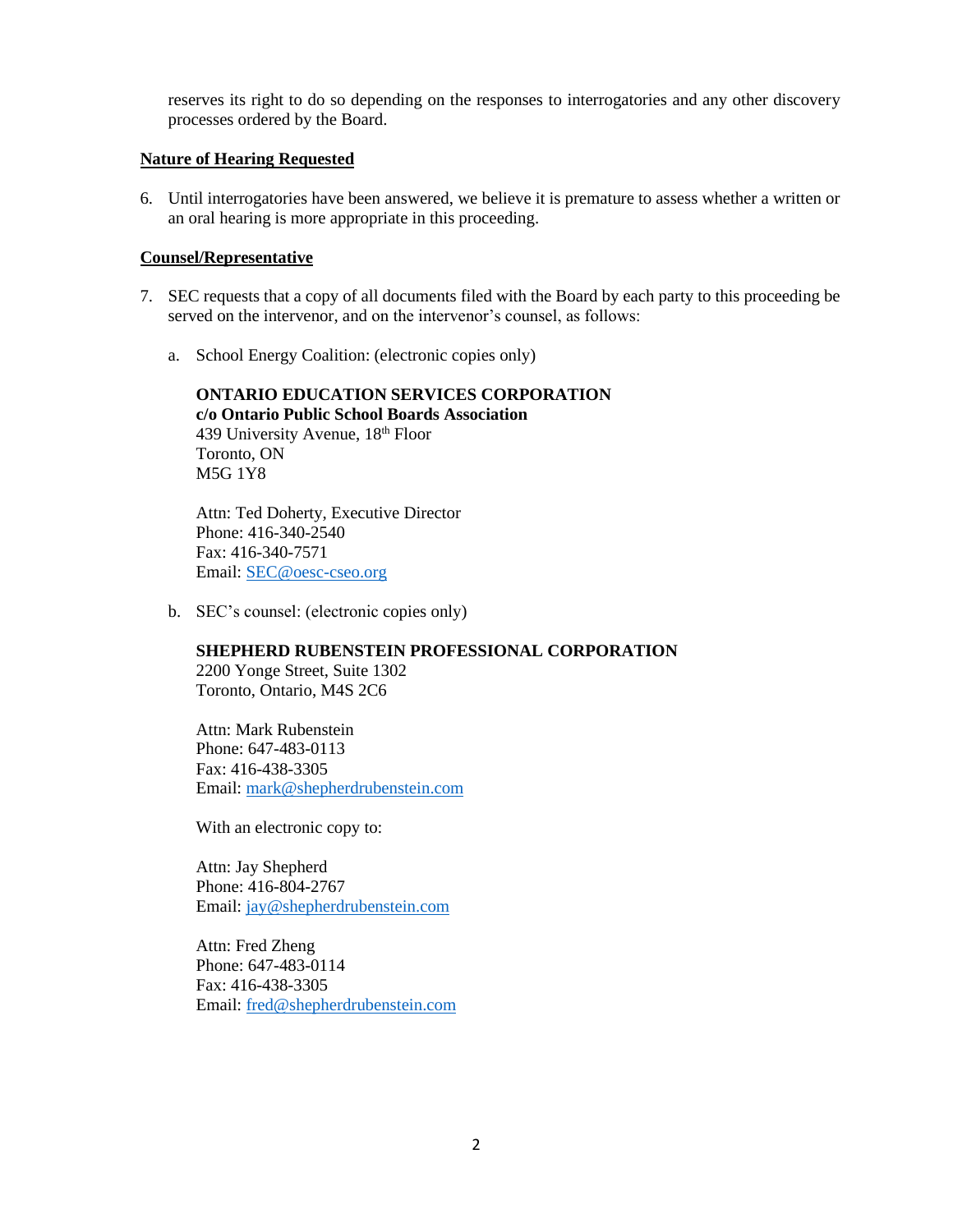reserves its right to do so depending on the responses to interrogatories and any other discovery processes ordered by the Board.

## **Nature of Hearing Requested**

6. Until interrogatories have been answered, we believe it is premature to assess whether a written or an oral hearing is more appropriate in this proceeding.

## **Counsel/Representative**

- 7. SEC requests that a copy of all documents filed with the Board by each party to this proceeding be served on the intervenor, and on the intervenor's counsel, as follows:
	- a. School Energy Coalition: (electronic copies only)

**ONTARIO EDUCATION SERVICES CORPORATION c/o Ontario Public School Boards Association** 439 University Avenue, 18<sup>th</sup> Floor Toronto, ON M5G 1Y8

Attn: Ted Doherty, Executive Director Phone: 416-340-2540 Fax: 416-340-7571 Email: [SEC@oesc-cseo.org](mailto:SEC@oesc-cseo.org)

b. SEC's counsel: (electronic copies only)

# **SHEPHERD RUBENSTEIN PROFESSIONAL CORPORATION**

2200 Yonge Street, Suite 1302 Toronto, Ontario, M4S 2C6

Attn: Mark Rubenstein Phone: 647-483-0113 Fax: 416-438-3305 Email: [mark@shepherdrubenstein.com](mailto:mark@shepherdrubenstein.com)

With an electronic copy to:

Attn: Jay Shepherd Phone: 416-804-2767 Email: [jay@shepherdrubenstein.com](mailto:jay@shepherdrubenstein.com)

Attn: Fred Zheng Phone: 647-483-0114 Fax: 416-438-3305 Email: [fred@shepherdrubenstein.com](mailto:fred@shepherdrubenstein.com)